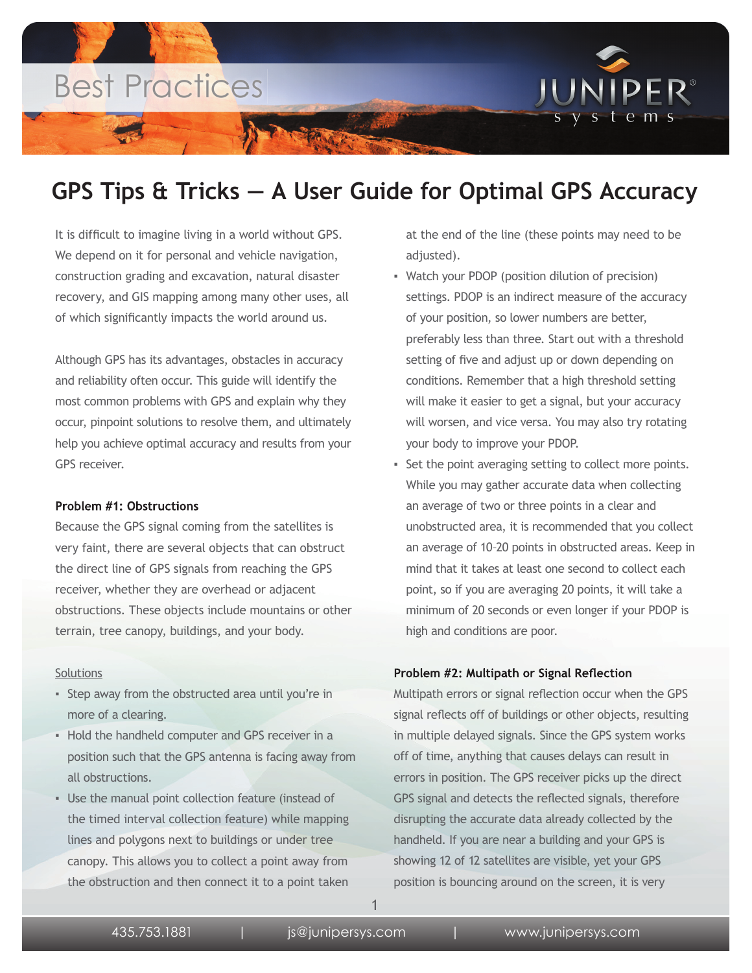

## **GPS Tips & Tricks — A User Guide for Optimal GPS Accuracy**

It is difficult to imagine living in a world without GPS. We depend on it for personal and vehicle navigation, construction grading and excavation, natural disaster recovery, and GIS mapping among many other uses, all of which significantly impacts the world around us.

Although GPS has its advantages, obstacles in accuracy and reliability often occur. This guide will identify the most common problems with GPS and explain why they occur, pinpoint solutions to resolve them, and ultimately help you achieve optimal accuracy and results from your GPS receiver.

### **Problem #1: Obstructions**

Because the GPS signal coming from the satellites is very faint, there are several objects that can obstruct the direct line of GPS signals from reaching the GPS receiver, whether they are overhead or adjacent obstructions. These objects include mountains or other terrain, tree canopy, buildings, and your body.

#### **Solutions**

- Step away from the obstructed area until you're in more of a clearing.
- **Hold the handheld computer and GPS receiver in a** position such that the GPS antenna is facing away from all obstructions.
- Use the manual point collection feature (instead of the timed interval collection feature) while mapping lines and polygons next to buildings or under tree canopy. This allows you to collect a point away from the obstruction and then connect it to a point taken

at the end of the line (these points may need to be adjusted).

- Watch your PDOP (position dilution of precision) settings. PDOP is an indirect measure of the accuracy of your position, so lower numbers are better, preferably less than three. Start out with a threshold setting of five and adjust up or down depending on conditions. Remember that a high threshold setting will make it easier to get a signal, but your accuracy will worsen, and vice versa. You may also try rotating your body to improve your PDOP.
- Set the point averaging setting to collect more points. While you may gather accurate data when collecting an average of two or three points in a clear and unobstructed area, it is recommended that you collect an average of 10–20 points in obstructed areas. Keep in mind that it takes at least one second to collect each point, so if you are averaging 20 points, it will take a minimum of 20 seconds or even longer if your PDOP is high and conditions are poor.

### **Problem #2: Multipath or Signal Reflection**

Multipath errors or signal reflection occur when the GPS signal reflects off of buildings or other objects, resulting in multiple delayed signals. Since the GPS system works off of time, anything that causes delays can result in errors in position. The GPS receiver picks up the direct GPS signal and detects the reflected signals, therefore disrupting the accurate data already collected by the handheld. If you are near a building and your GPS is showing 12 of 12 satellites are visible, yet your GPS position is bouncing around on the screen, it is very

1